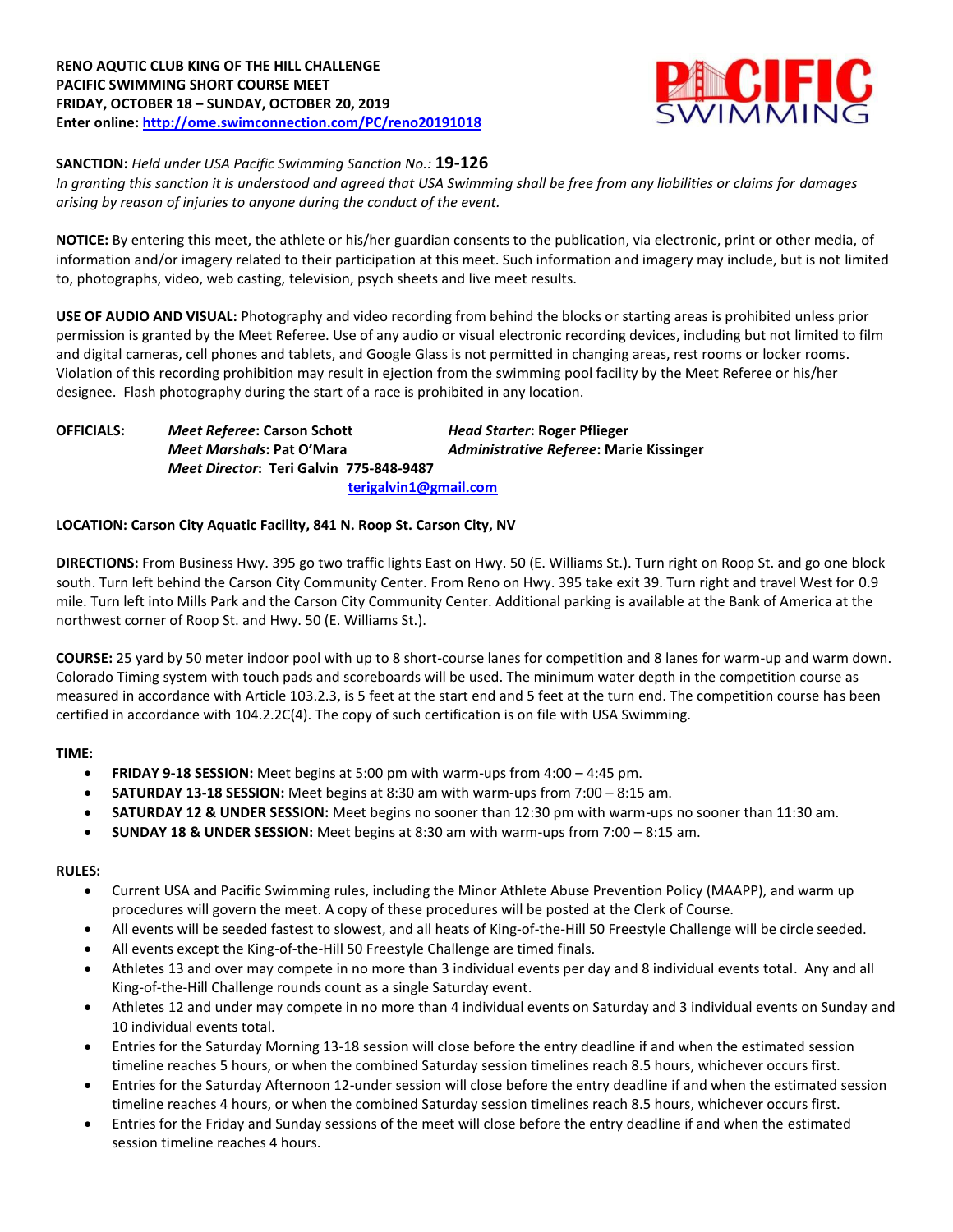

#### **SANCTION:** *Held under USA Pacific Swimming Sanction No.:* **19-126**

*In granting this sanction it is understood and agreed that USA Swimming shall be free from any liabilities or claims for damages arising by reason of injuries to anyone during the conduct of the event.*

**NOTICE:** By entering this meet, the athlete or his/her guardian consents to the publication, via electronic, print or other media, of information and/or imagery related to their participation at this meet. Such information and imagery may include, but is not limited to, photographs, video, web casting, television, psych sheets and live meet results.

**USE OF AUDIO AND VISUAL:** Photography and video recording from behind the blocks or starting areas is prohibited unless prior permission is granted by the Meet Referee. Use of any audio or visual electronic recording devices, including but not limited to film and digital cameras, cell phones and tablets, and Google Glass is not permitted in changing areas, rest rooms or locker rooms. Violation of this recording prohibition may result in ejection from the swimming pool facility by the Meet Referee or his/her designee. Flash photography during the start of a race is prohibited in any location.

**OFFICIALS:** *Meet Referee***: Carson Schott** *Head Starter***: Roger Pflieger** *Meet Marshals***: Pat O'Mara** *Administrative Referee***: Marie Kissinger** *Meet Director***: Teri Galvin 775-848-9487 [terigalvin1@gmail.com](mailto:terigalvin1@gmail.com)**

#### **LOCATION: Carson City Aquatic Facility, 841 N. Roop St. Carson City, NV**

**DIRECTIONS:** From Business Hwy. 395 go two traffic lights East on Hwy. 50 (E. Williams St.). Turn right on Roop St. and go one block south. Turn left behind the Carson City Community Center. From Reno on Hwy. 395 take exit 39. Turn right and travel West for 0.9 mile. Turn left into Mills Park and the Carson City Community Center. Additional parking is available at the Bank of America at the northwest corner of Roop St. and Hwy. 50 (E. Williams St.).

**COURSE:** 25 yard by 50 meter indoor pool with up to 8 short-course lanes for competition and 8 lanes for warm-up and warm down. Colorado Timing system with touch pads and scoreboards will be used. The minimum water depth in the competition course as measured in accordance with Article 103.2.3, is 5 feet at the start end and 5 feet at the turn end. The competition course has been certified in accordance with 104.2.2C(4). The copy of such certification is on file with USA Swimming.

#### **TIME:**

- **FRIDAY 9-18 SESSION:** Meet begins at 5:00 pm with warm-ups from 4:00 4:45 pm.
- **SATURDAY 13-18 SESSION:** Meet begins at 8:30 am with warm-ups from 7:00 8:15 am.
- **SATURDAY 12 & UNDER SESSION:** Meet begins no sooner than 12:30 pm with warm-ups no sooner than 11:30 am.
- **SUNDAY 18 & UNDER SESSION:** Meet begins at 8:30 am with warm-ups from 7:00 8:15 am.

#### **RULES:**

- Current USA and Pacific Swimming rules, including the Minor Athlete Abuse Prevention Policy (MAAPP), and warm up procedures will govern the meet. A copy of these procedures will be posted at the Clerk of Course.
- All events will be seeded fastest to slowest, and all heats of King-of-the-Hill 50 Freestyle Challenge will be circle seeded.
- All events except the King-of-the-Hill 50 Freestyle Challenge are timed finals.
- Athletes 13 and over may compete in no more than 3 individual events per day and 8 individual events total. Any and all King-of-the-Hill Challenge rounds count as a single Saturday event.
- Athletes 12 and under may compete in no more than 4 individual events on Saturday and 3 individual events on Sunday and 10 individual events total.
- Entries for the Saturday Morning 13-18 session will close before the entry deadline if and when the estimated session timeline reaches 5 hours, or when the combined Saturday session timelines reach 8.5 hours, whichever occurs first.
- Entries for the Saturday Afternoon 12-under session will close before the entry deadline if and when the estimated session timeline reaches 4 hours, or when the combined Saturday session timelines reach 8.5 hours, whichever occurs first.
- Entries for the Friday and Sunday sessions of the meet will close before the entry deadline if and when the estimated session timeline reaches 4 hours.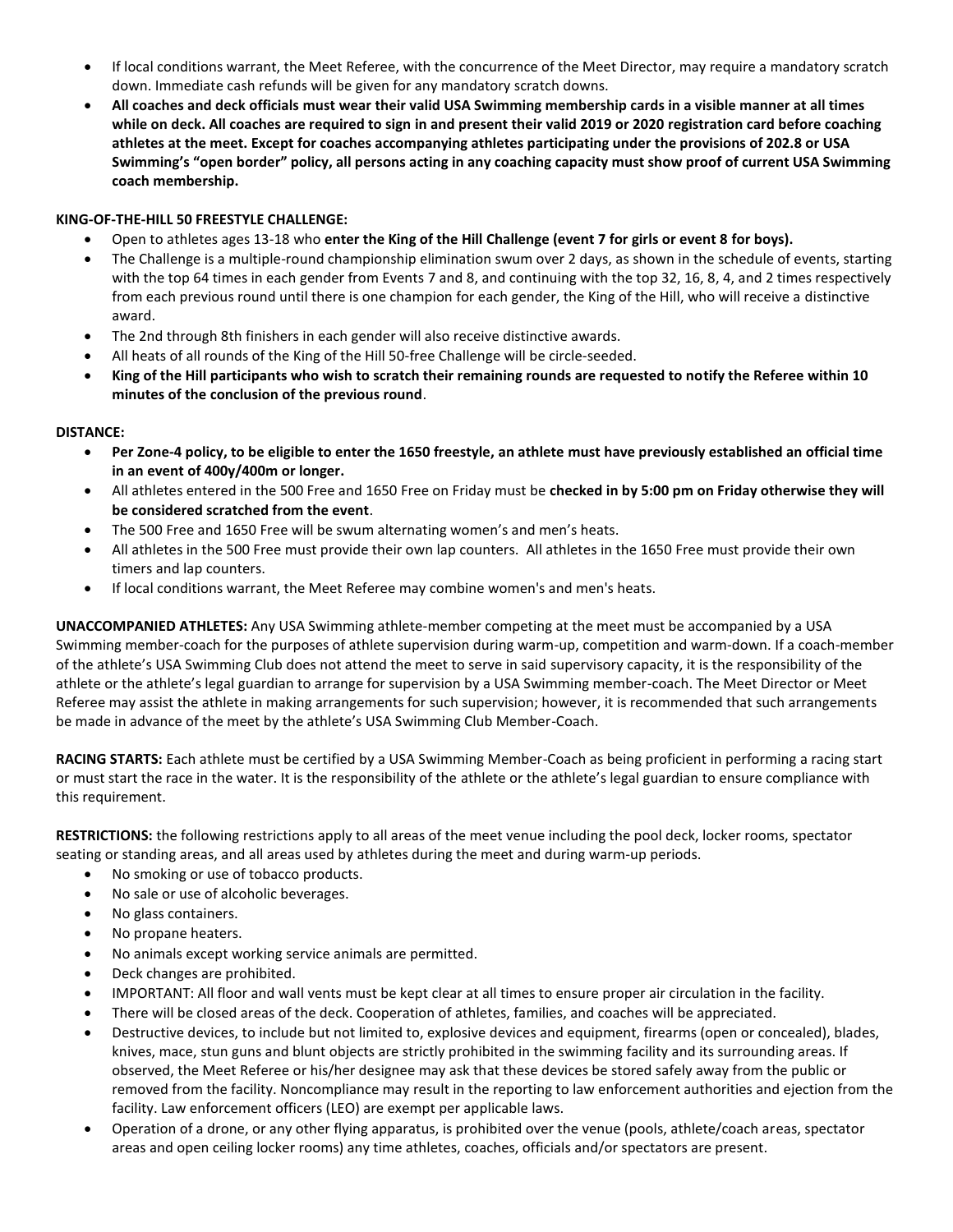- If local conditions warrant, the Meet Referee, with the concurrence of the Meet Director, may require a mandatory scratch down. Immediate cash refunds will be given for any mandatory scratch downs.
- **All coaches and deck officials must wear their valid USA Swimming membership cards in a visible manner at all times while on deck. All coaches are required to sign in and present their valid 2019 or 2020 registration card before coaching athletes at the meet. Except for coaches accompanying athletes participating under the provisions of 202.8 or USA Swimming's "open border" policy, all persons acting in any coaching capacity must show proof of current USA Swimming coach membership.**

### **KING-OF-THE-HILL 50 FREESTYLE CHALLENGE:**

- Open to athletes ages 13-18 who **enter the King of the Hill Challenge (event 7 for girls or event 8 for boys).**
- The Challenge is a multiple-round championship elimination swum over 2 days, as shown in the schedule of events, starting with the top 64 times in each gender from Events 7 and 8, and continuing with the top 32, 16, 8, 4, and 2 times respectively from each previous round until there is one champion for each gender, the King of the Hill, who will receive a distinctive award.
- The 2nd through 8th finishers in each gender will also receive distinctive awards.
- All heats of all rounds of the King of the Hill 50-free Challenge will be circle-seeded.
- **King of the Hill participants who wish to scratch their remaining rounds are requested to notify the Referee within 10 minutes of the conclusion of the previous round**.

#### **DISTANCE:**

- **Per Zone-4 policy, to be eligible to enter the 1650 freestyle, an athlete must have previously established an official time in an event of 400y/400m or longer.**
- All athletes entered in the 500 Free and 1650 Free on Friday must be **checked in by 5:00 pm on Friday otherwise they will be considered scratched from the event**.
- The 500 Free and 1650 Free will be swum alternating women's and men's heats.
- All athletes in the 500 Free must provide their own lap counters. All athletes in the 1650 Free must provide their own timers and lap counters.
- If local conditions warrant, the Meet Referee may combine women's and men's heats.

**UNACCOMPANIED ATHLETES:** Any USA Swimming athlete-member competing at the meet must be accompanied by a USA Swimming member-coach for the purposes of athlete supervision during warm-up, competition and warm-down. If a coach-member of the athlete's USA Swimming Club does not attend the meet to serve in said supervisory capacity, it is the responsibility of the athlete or the athlete's legal guardian to arrange for supervision by a USA Swimming member-coach. The Meet Director or Meet Referee may assist the athlete in making arrangements for such supervision; however, it is recommended that such arrangements be made in advance of the meet by the athlete's USA Swimming Club Member-Coach.

**RACING STARTS:** Each athlete must be certified by a USA Swimming Member-Coach as being proficient in performing a racing start or must start the race in the water. It is the responsibility of the athlete or the athlete's legal guardian to ensure compliance with this requirement.

**RESTRICTIONS:** the following restrictions apply to all areas of the meet venue including the pool deck, locker rooms, spectator seating or standing areas, and all areas used by athletes during the meet and during warm-up periods.

- No smoking or use of tobacco products.
- No sale or use of alcoholic beverages.
- No glass containers.
- No propane heaters.
- No animals except working service animals are permitted.
- Deck changes are prohibited.
- IMPORTANT: All floor and wall vents must be kept clear at all times to ensure proper air circulation in the facility.
- There will be closed areas of the deck. Cooperation of athletes, families, and coaches will be appreciated.
- Destructive devices, to include but not limited to, explosive devices and equipment, firearms (open or concealed), blades, knives, mace, stun guns and blunt objects are strictly prohibited in the swimming facility and its surrounding areas. If observed, the Meet Referee or his/her designee may ask that these devices be stored safely away from the public or removed from the facility. Noncompliance may result in the reporting to law enforcement authorities and ejection from the facility. Law enforcement officers (LEO) are exempt per applicable laws.
- Operation of a drone, or any other flying apparatus, is prohibited over the venue (pools, athlete/coach areas, spectator areas and open ceiling locker rooms) any time athletes, coaches, officials and/or spectators are present.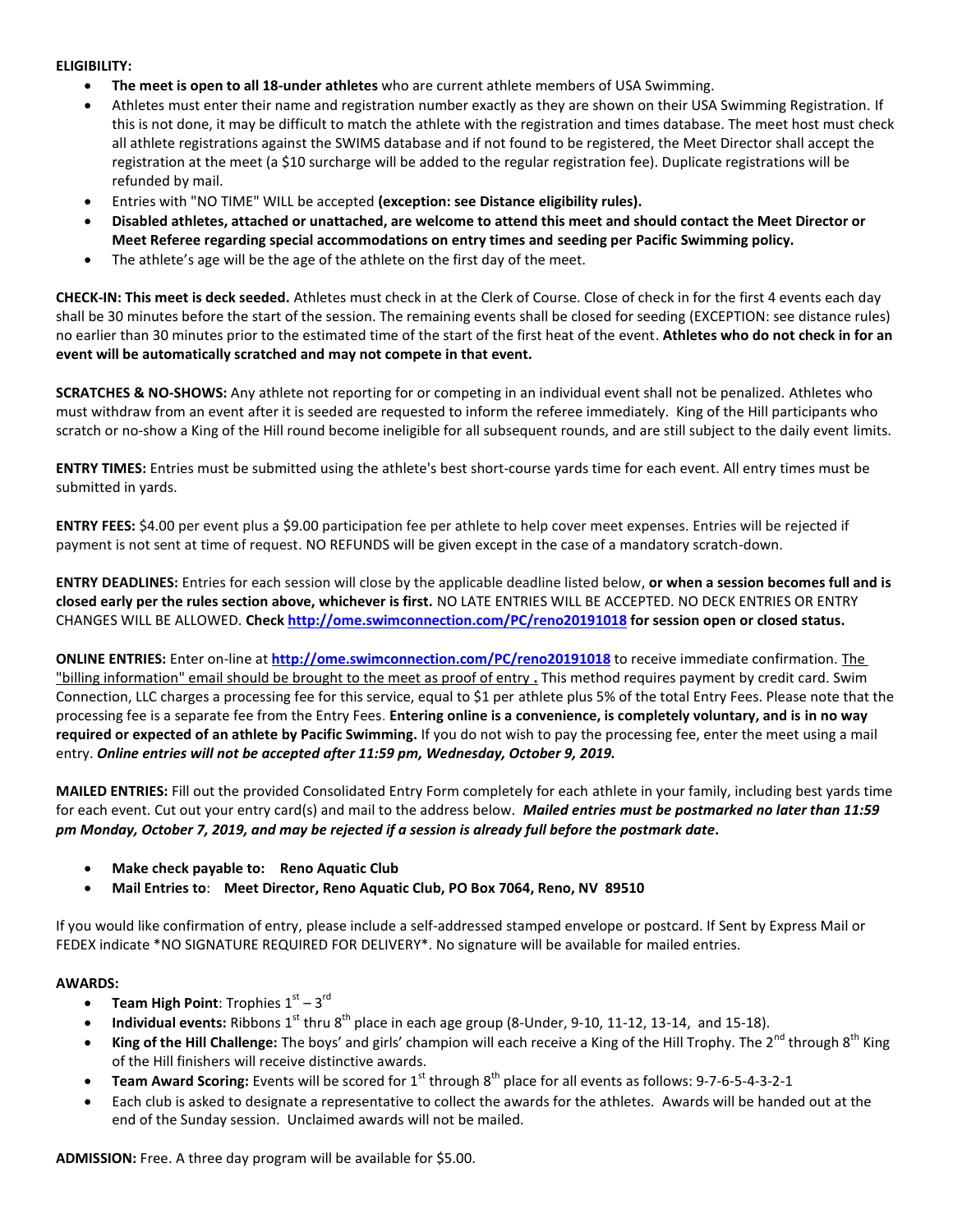#### **ELIGIBILITY:**

- **The meet is open to all 18-under athletes** who are current athlete members of USA Swimming.
- Athletes must enter their name and registration number exactly as they are shown on their USA Swimming Registration. If this is not done, it may be difficult to match the athlete with the registration and times database. The meet host must check all athlete registrations against the SWIMS database and if not found to be registered, the Meet Director shall accept the registration at the meet (a \$10 surcharge will be added to the regular registration fee). Duplicate registrations will be refunded by mail.
- Entries with "NO TIME" WILL be accepted **(exception: see Distance eligibility rules).**
- **Disabled athletes, attached or unattached, are welcome to attend this meet and should contact the Meet Director or Meet Referee regarding special accommodations on entry times and seeding per Pacific Swimming policy.**
- The athlete's age will be the age of the athlete on the first day of the meet.

**CHECK-IN: This meet is deck seeded.** Athletes must check in at the Clerk of Course. Close of check in for the first 4 events each day shall be 30 minutes before the start of the session. The remaining events shall be closed for seeding (EXCEPTION: see distance rules) no earlier than 30 minutes prior to the estimated time of the start of the first heat of the event. **Athletes who do not check in for an event will be automatically scratched and may not compete in that event.**

**SCRATCHES & NO-SHOWS:** Any athlete not reporting for or competing in an individual event shall not be penalized. Athletes who must withdraw from an event after it is seeded are requested to inform the referee immediately. King of the Hill participants who scratch or no-show a King of the Hill round become ineligible for all subsequent rounds, and are still subject to the daily event limits.

**ENTRY TIMES:** Entries must be submitted using the athlete's best short-course yards time for each event. All entry times must be submitted in yards.

**ENTRY FEES:** \$4.00 per event plus a \$9.00 participation fee per athlete to help cover meet expenses. Entries will be rejected if payment is not sent at time of request. NO REFUNDS will be given except in the case of a mandatory scratch-down.

**ENTRY DEADLINES:** Entries for each session will close by the applicable deadline listed below, **or when a session becomes full and is closed early per the rules section above, whichever is first.** NO LATE ENTRIES WILL BE ACCEPTED. NO DECK ENTRIES OR ENTRY CHANGES WILL BE ALLOWED. **Check<http://ome.swimconnection.com/PC/reno20191018> for session open or closed status.**

**ONLINE ENTRIES:** Enter on-line at **<http://ome.swimconnection.com/PC/reno20191018>** to receive immediate confirmation. The "billing information" email should be brought to the meet as proof of entry **.** This method requires payment by credit card. Swim Connection, LLC charges a processing fee for this service, equal to \$1 per athlete plus 5% of the total Entry Fees. Please note that the processing fee is a separate fee from the Entry Fees. **Entering online is a convenience, is completely voluntary, and is in no way required or expected of an athlete by Pacific Swimming.** If you do not wish to pay the processing fee, enter the meet using a mail entry. *Online entries will not be accepted after 11:59 pm, Wednesday, October 9, 2019.*

**MAILED ENTRIES:** Fill out the provided Consolidated Entry Form completely for each athlete in your family, including best yards time for each event. Cut out your entry card(s) and mail to the address below. *Mailed entries must be postmarked no later than 11:59 pm Monday, October 7, 2019, and may be rejected if a session is already full before the postmark date.*

- **Make check payable to: Reno Aquatic Club**
- **Mail Entries to**: **Meet Director, Reno Aquatic Club, PO Box 7064, Reno, NV 89510**

If you would like confirmation of entry, please include a self-addressed stamped envelope or postcard. If Sent by Express Mail or FEDEX indicate \*NO SIGNATURE REQUIRED FOR DELIVERY\*. No signature will be available for mailed entries.

#### **AWARDS:**

- **Team High Point**: Trophies  $1^\text{st} 3^\text{rd}$
- **Individual events:** Ribbons 1<sup>st</sup> thru 8<sup>th</sup> place in each age group (8-Under, 9-10, 11-12, 13-14, and 15-18).
- **King of the Hill Challenge:** The boys' and girls' champion will each receive a King of the Hill Trophy. The 2<sup>nd</sup> through 8<sup>th</sup> King of the Hill finishers will receive distinctive awards.
- **Team Award Scoring:** Events will be scored for 1<sup>st</sup> through 8<sup>th</sup> place for all events as follows: 9-7-6-5-4-3-2-1
- Each club is asked to designate a representative to collect the awards for the athletes. Awards will be handed out at the end of the Sunday session. Unclaimed awards will not be mailed.

**ADMISSION:** Free. A three day program will be available for \$5.00.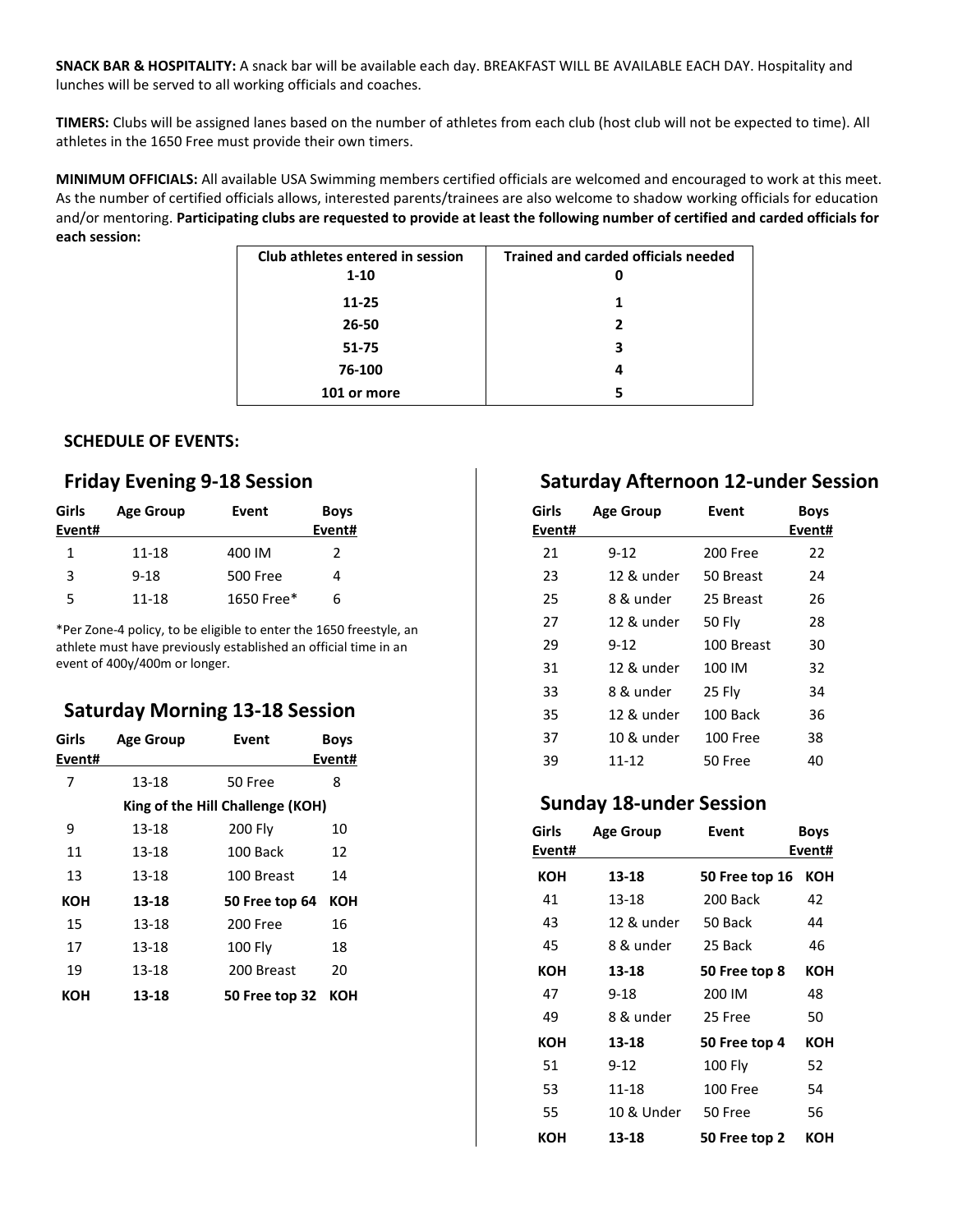**SNACK BAR & HOSPITALITY:** A snack bar will be available each day. BREAKFAST WILL BE AVAILABLE EACH DAY. Hospitality and lunches will be served to all working officials and coaches.

**TIMERS:** Clubs will be assigned lanes based on the number of athletes from each club (host club will not be expected to time). All athletes in the 1650 Free must provide their own timers.

**MINIMUM OFFICIALS:** All available USA Swimming members certified officials are welcomed and encouraged to work at this meet. As the number of certified officials allows, interested parents/trainees are also welcome to shadow working officials for education and/or mentoring. **Participating clubs are requested to provide at least the following number of certified and carded officials for each session:**

| Club athletes entered in session | <b>Trained and carded officials needed</b> |
|----------------------------------|--------------------------------------------|
| $1 - 10$                         |                                            |
| 11-25                            | 1                                          |
| 26-50                            | 2                                          |
| $51 - 75$                        | 3                                          |
| 76-100                           | л                                          |
| 101 or more                      |                                            |

## **SCHEDULE OF EVENTS:**

# **Friday Evening 9-18 Session**

| Girls<br>Event# | <b>Age Group</b> | Event           | <b>Boys</b><br>Event# |
|-----------------|------------------|-----------------|-----------------------|
| 1               | 11-18            | 400 IM          | 2                     |
| ર               | $9 - 18$         | <b>500 Free</b> |                       |
| 5               | 11-18            | 1650 Free*      | 6                     |

\*Per Zone-4 policy, to be eligible to enter the 1650 freestyle, an athlete must have previously established an official time in an event of 400y/400m or longer.

## **Saturday Morning 13-18 Session**

| Girls<br>Event# | <b>Age Group</b> | Event                            | <b>Boys</b><br>Event# |
|-----------------|------------------|----------------------------------|-----------------------|
| 7               | 13-18            | 50 Free                          | 8                     |
|                 |                  | King of the Hill Challenge (KOH) |                       |
| 9               | 13-18            | 200 Fly                          | 10                    |
| 11              | 13-18            | 100 Back                         | 12                    |
| 13              | 13-18            | 100 Breast                       | 14                    |
| кон             | 13-18            | 50 Free top 64                   | <b>KOH</b>            |
| 15              | 13-18            | 200 Free                         | 16                    |
| 17              | 13-18            | <b>100 Flv</b>                   | 18                    |
| 19              | 13-18            | 200 Breast                       | 20                    |
| кон             | 13-18            | 50 Free top 32                   | кон                   |

# **Saturday Afternoon 12-under Session**

| Girls<br>Event# | <b>Age Group</b> | Event      | <b>Boys</b><br>Event# |
|-----------------|------------------|------------|-----------------------|
| 21              | 9-12             | 200 Free   | 22                    |
| 23              | 12 & under       | 50 Breast  | 24                    |
| 25              | 8 & under        | 25 Breast  | 26                    |
| 27              | 12 & under       | 50 Fly     | 28                    |
| 29              | 9-12             | 100 Breast | 30                    |
| 31              | 12 & under       | 100 IM     | 32                    |
| 33              | 8 & under        | 25 Fly     | 34                    |
| 35              | 12 & under       | 100 Back   | 36                    |
| 37              | 10 & under       | $100$ Free | 38                    |
| 39              | 11-12            | 50 Free    | 40                    |

## **Sunday 18-under Session**

| Girls<br>Event# | <b>Age Group</b> | Event           | <b>Boys</b><br>Event# |
|-----------------|------------------|-----------------|-----------------------|
| кон             | 13-18            | 50 Free top 16  | кон                   |
| 41              | 13-18            | 200 Back        | 42                    |
| 43              | 12 & under       | 50 Back         | 44                    |
| 45              | 8 & under        | 25 Back         | 46                    |
| кон             | 13-18            | 50 Free top 8   | кон                   |
| 47              | 9-18             | 200 IM          | 48                    |
| 49              | 8 & under        | 25 Free         | 50                    |
| кон             | 13-18            | 50 Free top 4   | <b>KOH</b>            |
| 51              | $9 - 12$         | 100 Fly         | 52                    |
| 53              | 11-18            | <b>100 Free</b> | 54                    |
| 55              | 10 & Under       | 50 Free         | 56                    |
| кон             | 13-18            | 50 Free top 2   | кон                   |